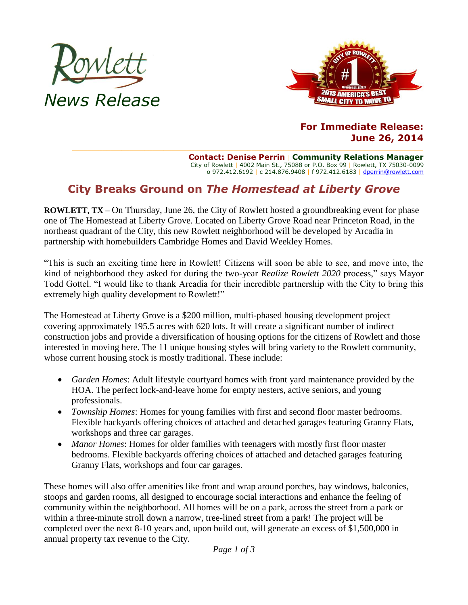



## **For Immediate Release: June 26, 2014**

**Contact: Denise Perrin** | **Community Relations Manager** City of Rowlett | 4002 Main St., 75088 or P.O. Box 99 | Rowlett, TX 75030-0099 o 972.412.6192 | c 214.876.9408 | f 972.412.6183 | [dperrin@rowlett.com](mailto:dperrin@rowlett.com)

# **City Breaks Ground on** *The Homestead at Liberty Grove*

**ROWLETT, TX –** On Thursday, June 26, the City of Rowlett hosted a groundbreaking event for phase one of The Homestead at Liberty Grove. Located on Liberty Grove Road near Princeton Road, in the northeast quadrant of the City, this new Rowlett neighborhood will be developed by Arcadia in partnership with homebuilders Cambridge Homes and David Weekley Homes.

"This is such an exciting time here in Rowlett! Citizens will soon be able to see, and move into, the kind of neighborhood they asked for during the two-year *Realize Rowlett 2020* process," says Mayor Todd Gottel. "I would like to thank Arcadia for their incredible partnership with the City to bring this extremely high quality development to Rowlett!"

The Homestead at Liberty Grove is a \$200 million, multi-phased housing development project covering approximately 195.5 acres with 620 lots. It will create a significant number of indirect construction jobs and provide a diversification of housing options for the citizens of Rowlett and those interested in moving here. The 11 unique housing styles will bring variety to the Rowlett community, whose current housing stock is mostly traditional. These include:

- *Garden Homes*: Adult lifestyle courtyard homes with front yard maintenance provided by the HOA. The perfect lock-and-leave home for empty nesters, active seniors, and young professionals.
- *Township Homes*: Homes for young families with first and second floor master bedrooms. Flexible backyards offering choices of attached and detached garages featuring Granny Flats, workshops and three car garages.
- *Manor Homes*: Homes for older families with teenagers with mostly first floor master bedrooms. Flexible backyards offering choices of attached and detached garages featuring Granny Flats, workshops and four car garages.

These homes will also offer amenities like front and wrap around porches, bay windows, balconies, stoops and garden rooms, all designed to encourage social interactions and enhance the feeling of community within the neighborhood. All homes will be on a park, across the street from a park or within a three-minute stroll down a narrow, tree-lined street from a park! The project will be completed over the next 8-10 years and, upon build out, will generate an excess of \$1,500,000 in annual property tax revenue to the City.

*Page 1 of 3*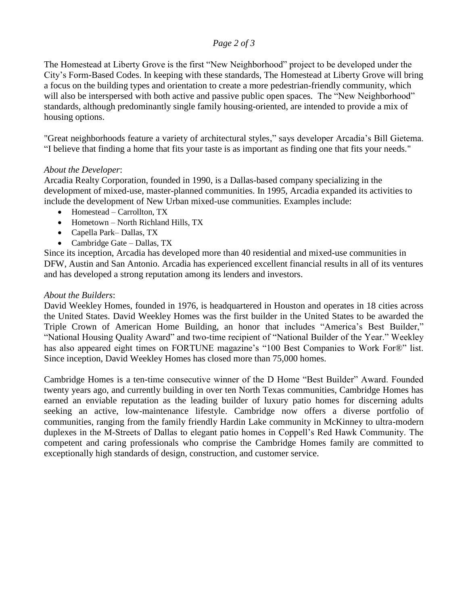### *Page 2 of 3*

The Homestead at Liberty Grove is the first "New Neighborhood" project to be developed under the City's Form-Based Codes. In keeping with these standards, The Homestead at Liberty Grove will bring a focus on the building types and orientation to create a more pedestrian-friendly community, which will also be interspersed with both active and passive public open spaces. The "New Neighborhood" standards, although predominantly single family housing-oriented, are intended to provide a mix of housing options.

"Great neighborhoods feature a variety of architectural styles," says developer Arcadia's Bill Gietema. "I believe that finding a home that fits your taste is as important as finding one that fits your needs."

#### *About the Developer*:

Arcadia Realty Corporation, founded in 1990, is a Dallas-based company specializing in the development of mixed-use, master-planned communities. In 1995, Arcadia expanded its activities to include the development of New Urban mixed-use communities. Examples include:

- Homestead Carrollton, TX
- Hometown North Richland Hills, TX
- Capella Park– Dallas, TX
- Cambridge Gate Dallas, TX

Since its inception, Arcadia has developed more than 40 residential and mixed-use communities in DFW, Austin and San Antonio. Arcadia has experienced excellent financial results in all of its ventures and has developed a strong reputation among its lenders and investors.

### *About the Builders*:

David Weekley Homes, founded in 1976, is headquartered in Houston and operates in 18 cities across the United States. David Weekley Homes was the first builder in the United States to be awarded the Triple Crown of American Home Building, an honor that includes "America's Best Builder," "National Housing Quality Award" and two-time recipient of "National Builder of the Year." Weekley has also appeared eight times on FORTUNE magazine's "100 Best Companies to Work For®" list. Since inception, David Weekley Homes has closed more than 75,000 homes.

Cambridge Homes is a ten-time consecutive winner of the D Home "Best Builder" Award. Founded twenty years ago, and currently building in over ten North Texas communities, Cambridge Homes has earned an enviable reputation as the leading builder of luxury patio homes for discerning adults seeking an active, low-maintenance lifestyle. Cambridge now offers a diverse portfolio of communities, ranging from the family friendly Hardin Lake community in McKinney to ultra-modern duplexes in the M-Streets of Dallas to elegant patio homes in Coppell's Red Hawk Community. The competent and caring professionals who comprise the Cambridge Homes family are committed to exceptionally high standards of design, construction, and customer service.